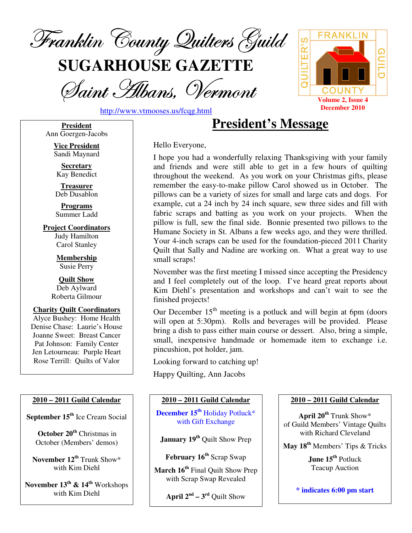

**SUGARHOUSE GAZETTE**

Saint Albans, Vermont



http://www.vtmooses.us/fcqg.html

**President** Ann Goergen-Jacobs

> **Vice President** Sandi Maynard

**Secretary** Kay Benedict

**Treasurer** Deb Dusablon

**Programs** Summer Ladd

**Project Coordinators** Judy Hamilton Carol Stanley

> **Membership** Susie Perry

**Quilt Show** Deb Aylward Roberta Gilmour

**Charity Quilt Coordinators** Alyce Bushey: Home Health Denise Chase: Laurie's House Joanne Sweet: Breast Cancer Pat Johnson: Family Center Jen Letourneau: Purple Heart Rose Terrill: Quilts of Valor

## **2010 – 2011 Guild Calendar**

**September 15 th** Ice Cream Social

**October 20 th** Christmas in October (Members' demos)

**November 12 th** Trunk Show\* with Kim Diehl

**November 13 th & 14 th** Workshops with Kim Diehl

**President's Message**

Hello Everyone,

I hope you had a wonderfully relaxing Thanksgiving with your family and friends and were still able to get in a few hours of quilting throughout the weekend. As you work on your Christmas gifts, please remember the easy-to-make pillow Carol showed us in October. The pillows can be a variety of sizes for small and large cats and dogs. For example, cut a 24 inch by 24 inch square, sew three sides and fill with fabric scraps and batting as you work on your projects. When the pillow is full, sew the final side. Bonnie presented two pillows to the Humane Society in St. Albans a few weeks ago, and they were thrilled. Your 4-inch scraps can be used for the foundation-pieced 2011 Charity Quilt that Sally and Nadine are working on. What a great way to use small scraps!

November was the first meeting I missed since accepting the Presidency and I feel completely out of the loop. I've heard great reports about Kim Diehl's presentation and workshops and can't wait to see the finished projects!

Our December  $15<sup>th</sup>$  meeting is a potluck and will begin at 6pm (doors will open at 5:30pm). Rolls and beverages will be provided. Please bring a dish to pass either main course or dessert. Also, bring a simple, small, inexpensive handmade or homemade item to exchange i.e. pincushion, pot holder, jam.

Looking forward to catching up!

Happy Quilting, Ann Jacobs

## **2010 – 2011 Guild Calendar**

**December 15 th** Holiday Potluck\* with Gift Exchange

**January 19 th** Quilt Show Prep

**February 16 th** Scrap Swap

**March 16 th** Final Quilt Show Prep with Scrap Swap Revealed

**April**  $2^{nd} - 3^{rd}$  Quilt Show

#### **2010 – 2011 Guild Calendar**

**April 20 th** Trunk Show\* of Guild Members' Vintage Quilts with Richard Cleveland

**May 18 th** Members' Tips & Tricks

**June 15 th** Potluck Teacup Auction

**\* indicates 6:00 pm start**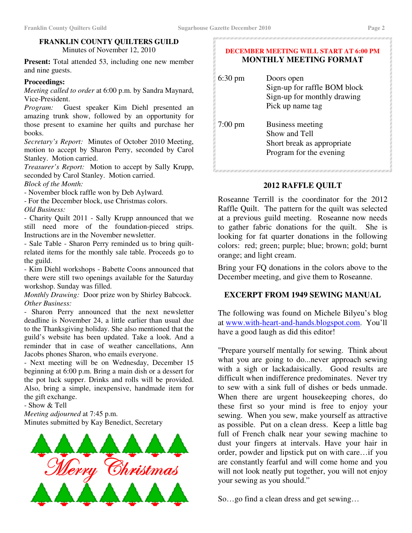### **FRANKLIN COUNTY QUILTERS GUILD** Minutes of November 12, 2010

**Present:** Total attended 53, including one new member and nine guests.

## **Proceedings:**

*Meeting called to order* at 6:00 p.m. by Sandra Maynard, Vice-President.

*Program:* Guest speaker Kim Diehl presented an amazing trunk show, followed by an opportunity for those present to examine her quilts and purchase her books.

*Secretary's Report:* Minutes of October 2010 Meeting, motion to accept by Sharon Perry, seconded by Carol Stanley. Motion carried.

*Treasurer's Report:* Motion to accept by Sally Krupp, seconded by Carol Stanley. Motion carried. *Block of the Month:*

- November block raffle won by Deb Aylward.

- For the December block, use Christmas colors.

*Old Business:*

- Charity Quilt 2011 - Sally Krupp announced that we still need more of the foundation-pieced strips. Instructions are in the November newsletter.

- Sale Table - Sharon Perry reminded us to bring quiltrelated items for the monthly sale table. Proceeds go to the guild.

- Kim Diehl workshops - Babette Coons announced that there were still two openings available for the Saturday workshop. Sunday was filled.

*Monthly Drawing:* Door prize won by Shirley Babcock. *Other Business:*

- Sharon Perry announced that the next newsletter deadline is November 24, a little earlier than usual due to the Thanksgiving holiday. She also mentioned that the guild's website has been updated. Take a look. And a reminder that in case of weather cancellations, Ann Jacobs phones Sharon, who emails everyone.

- Next meeting will be on Wednesday, December 15 beginning at 6:00 p.m. Bring a main dish or a dessert for the pot luck supper. Drinks and rolls will be provided. Also, bring a simple, inexpensive, handmade item for the gift exchange.

- Show & Tell

*Meeting adjourned* at 7:45 p.m. Minutes submitted by Kay Benedict, Secretary



#### **DECEMBER MEETING WILL START AT 6:00 PM MONTHLY MEETING FORMAT**

| $6:30 \text{ pm}$ | Doors open<br>Sign-up for raffle BOM block<br>Sign-up for monthly drawing<br>Pick up name tag |
|-------------------|-----------------------------------------------------------------------------------------------|
| $7:00 \text{ pm}$ | Business meeting<br>Show and Tell<br>Short break as appropriate<br>Program for the evening    |

## **2012 RAFFLE QUILT**

Roseanne Terrill is the coordinator for the 2012 Raffle Quilt. The pattern for the quilt was selected at a previous guild meeting. Roseanne now needs to gather fabric donations for the quilt. She is looking for fat quarter donations in the following colors: red; green; purple; blue; brown; gold; burnt orange; and light cream.

Bring your FQ donations in the colors above to the December meeting, and give them to Roseanne.

## **EXCERPT FROM 1949 SEWING MANUAL**

The following was found on Michele Bilyeu's blog at www.with-heart-and-hands.blogspot.com. You'll have a good laugh as did this editor!

"Prepare yourself mentally for sewing. Think about what you are going to do...never approach sewing with a sigh or lackadaisically. Good results are difficult when indifference predominates. Never try to sew with a sink full of dishes or beds unmade. When there are urgent housekeeping chores, do these first so your mind is free to enjoy your sewing. When you sew, make yourself as attractive as possible. Put on a clean dress. Keep a little bag full of French chalk near your sewing machine to dust your fingers at intervals. Have your hair in order, powder and lipstick put on with care…if you are constantly fearful and will come home and you will not look neatly put together, you will not enjoy your sewing as you should."

So…go find a clean dress and get sewing…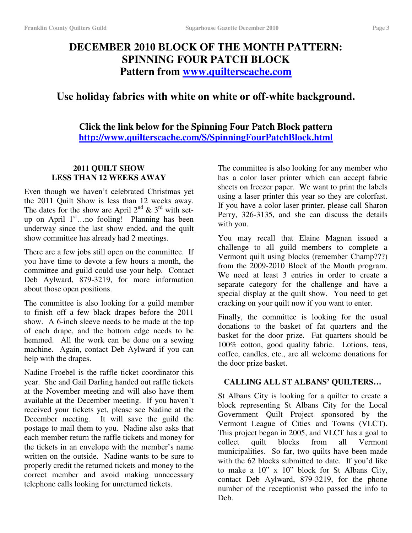# **DECEMBER 2010 BLOCK OF THE MONTH PATTERN: SPINNING FOUR PATCH BLOCK Pattern from www.quilterscache.com**

# **Use holiday fabrics with white on white or off-white background.**

**Click the link below for the Spinning Four Patch Block pattern http://www.quilterscache.com/S/SpinningFourPatchBlock.html**

## **2011 QUILT SHOW LESS THAN 12 WEEKS AWAY**

Even though we haven't celebrated Christmas yet the 2011 Quilt Show is less than 12 weeks away. The dates for the show are April  $2^{nd}$  &  $3^{rd}$  with setup on April 1<sup>st</sup>...no fooling! Planning has been underway since the last show ended, and the quilt show committee has already had 2 meetings.

There are a few jobs still open on the committee. If you have time to devote a few hours a month, the committee and guild could use your help. Contact Deb Aylward, 879-3219, for more information about those open positions.

The committee is also looking for a guild member to finish off a few black drapes before the 2011 show. A 6-inch sleeve needs to be made at the top of each drape, and the bottom edge needs to be hemmed. All the work can be done on a sewing machine. Again, contact Deb Aylward if you can help with the drapes.

Nadine Froebel is the raffle ticket coordinator this year. She and Gail Darling handed out raffle tickets at the November meeting and will also have them available at the December meeting. If you haven't received your tickets yet, please see Nadine at the December meeting. It will save the guild the postage to mail them to you. Nadine also asks that each member return the raffle tickets and money for the tickets in an envelope with the member's name written on the outside. Nadine wants to be sure to properly credit the returned tickets and money to the correct member and avoid making unnecessary telephone calls looking for unreturned tickets.

The committee is also looking for any member who has a color laser printer which can accept fabric sheets on freezer paper. We want to print the labels using a laser printer this year so they are colorfast. If you have a color laser printer, please call Sharon Perry, 326-3135, and she can discuss the details with you.

You may recall that Elaine Magnan issued a challenge to all guild members to complete a Vermont quilt using blocks (remember Champ???) from the 2009-2010 Block of the Month program. We need at least 3 entries in order to create a separate category for the challenge and have a special display at the quilt show. You need to get cracking on your quilt now if you want to enter.

Finally, the committee is looking for the usual donations to the basket of fat quarters and the basket for the door prize. Fat quarters should be 100% cotton, good quality fabric. Lotions, teas, coffee, candles, etc., are all welcome donations for the door prize basket.

## **CALLING ALL ST ALBANS' QUILTERS…**

St Albans City is looking for a quilter to create a block representing St Albans City for the Local Government Quilt Project sponsored by the Vermont League of Cities and Towns (VLCT). This project began in 2005, and VLCT has a goal to collect quilt blocks from all Vermont municipalities. So far, two quilts have been made with the 62 blocks submitted to date. If you'd like to make a 10" x 10" block for St Albans City, contact Deb Aylward, 879-3219, for the phone number of the receptionist who passed the info to Deb.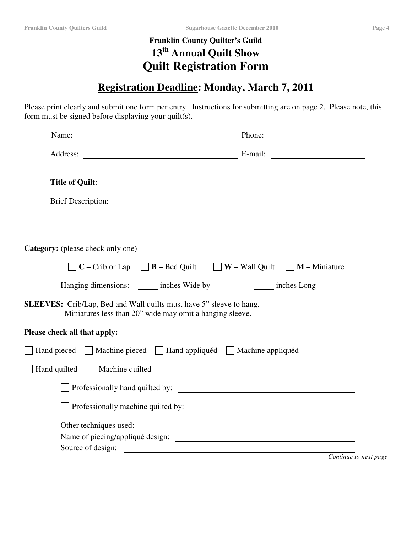# **Franklin County Quilter's Guild 13 th Annual Quilt Show Quilt Registration Form**

# **Registration Deadline: Monday, March 7, 2011**

Please print clearly and submit one form per entry. Instructions for submitting are on page 2. Please note, this form must be signed before displaying your quilt(s).

| Name:<br><u> 1980 - Johann Barbara, martxa amerikan personal (h. 1980).</u>                                                            | Phone:                                                                                 |
|----------------------------------------------------------------------------------------------------------------------------------------|----------------------------------------------------------------------------------------|
|                                                                                                                                        |                                                                                        |
|                                                                                                                                        | Title of Quilt:                                                                        |
|                                                                                                                                        |                                                                                        |
|                                                                                                                                        |                                                                                        |
| Category: (please check only one)                                                                                                      |                                                                                        |
|                                                                                                                                        | $\Box$ C – Crib or Lap $\Box$ B – Bed Quilt $\Box$ W – Wall Quilt $\Box$ M – Miniature |
| Hanging dimensions: _______ inches Wide by                                                                                             | inches Long                                                                            |
| <b>SLEEVES:</b> Crib/Lap, Bed and Wall quilts must have 5" sleeve to hang.<br>Miniatures less than 20" wide may omit a hanging sleeve. |                                                                                        |
| Please check all that apply:                                                                                                           |                                                                                        |
| □ Hand pieced □ Machine pieced □ Hand appliquéd □ Machine appliquéd                                                                    |                                                                                        |
| Hand quilted Machine quilted                                                                                                           |                                                                                        |
|                                                                                                                                        |                                                                                        |
|                                                                                                                                        | Professionally machine quilted by:                                                     |
| Other techniques used:                                                                                                                 | <u> 1989 - Andrea Stadt Britain, fransk politik (d. 1989)</u>                          |
|                                                                                                                                        | Name of piecing/appliqué design:                                                       |
|                                                                                                                                        | Source of design:<br>Continue to next page                                             |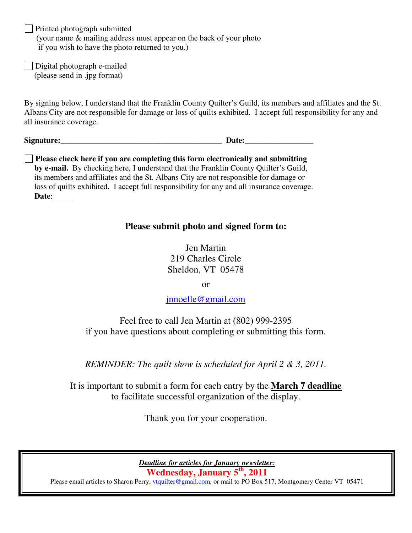$\Box$  Printed photograph submitted (your name & mailing address must appear on the back of your photo if you wish to have the photo returned to you.)

Digital photograph e-mailed (please send in .jpg format)

By signing below, I understand that the Franklin County Quilter's Guild, its members and affiliates and the St. Albans City are not responsible for damage or loss of quilts exhibited. I accept full responsibility for any and all insurance coverage.

**Signature: Date: Date: Date: Date: Date: Date: Date: Date: Date: Date: Date: D** 

**Please check here if you are completing this form electronically and submitting by e-mail.** By checking here, I understand that the Franklin County Quilter's Guild, its members and affiliates and the St. Albans City are not responsible for damage or loss of quilts exhibited. I accept full responsibility for any and all insurance coverage. **Date**:

# **Please submit photo and signed form to:**

Jen Martin 219 Charles Circle Sheldon, VT 05478

or

jnnoelle@gmail.com

Feel free to call Jen Martin at (802) 999-2395 if you have questions about completing or submitting this form.

*REMINDER: The quilt show is scheduled for April 2 & 3, 2011.*

It is important to submit a form for each entry by the **March 7 deadline** to facilitate successful organization of the display.

Thank you for your cooperation.

*Deadline for articles for January newsletter:* **Wednesday, January 5 th , 2011**

Please email articles to Sharon Perry, *vtquilter@gmail.com*, or mail to PO Box 517, Montgomery Center VT 05471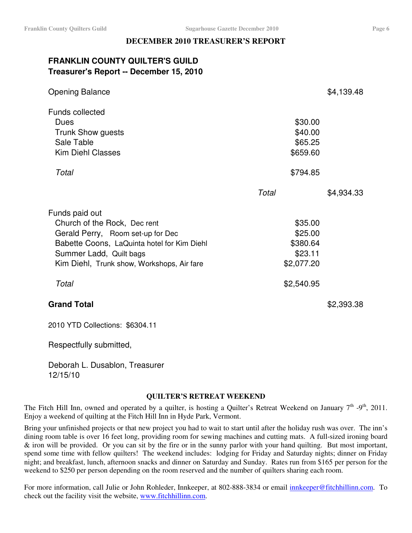## **DECEMBER 2010 TREASURER'S REPORT**

## **FRANKLIN COUNTY QUILTER'S GUILD Treasurer's Report -- December 15, 2010**

| <b>Opening Balance</b>                                                                                                                                                                                      |                                                         | \$4,139.48 |
|-------------------------------------------------------------------------------------------------------------------------------------------------------------------------------------------------------------|---------------------------------------------------------|------------|
| <b>Funds collected</b><br>Dues<br><b>Trunk Show guests</b><br>Sale Table<br><b>Kim Diehl Classes</b>                                                                                                        | \$30.00<br>\$40.00<br>\$65.25<br>\$659.60               |            |
| Total                                                                                                                                                                                                       | \$794.85                                                |            |
|                                                                                                                                                                                                             | Total                                                   | \$4,934.33 |
| Funds paid out<br>Church of the Rock, Dec rent<br>Gerald Perry, Room set-up for Dec<br>Babette Coons, LaQuinta hotel for Kim Diehl<br>Summer Ladd, Quilt bags<br>Kim Diehl, Trunk show, Workshops, Air fare | \$35.00<br>\$25.00<br>\$380.64<br>\$23.11<br>\$2,077.20 |            |
| Total                                                                                                                                                                                                       | \$2,540.95                                              |            |
| <b>Grand Total</b>                                                                                                                                                                                          |                                                         | \$2,393.38 |
| 2010 YTD Collections: \$6304.11                                                                                                                                                                             |                                                         |            |

Respectfully submitted,

Deborah L. Dusablon, Treasurer 12/15/10

## **QUILTER'S RETREAT WEEKEND**

The Fitch Hill Inn, owned and operated by a quilter, is hosting a Quilter's Retreat Weekend on January  $7<sup>th</sup>$  -9<sup>th</sup>, 2011. Enjoy a weekend of quilting at the Fitch Hill Inn in Hyde Park, Vermont.

Bring your unfinished projects or that new project you had to wait to start until after the holiday rush was over. The inn's dining room table is over 16 feet long, providing room for sewing machines and cutting mats. A full-sized ironing board & iron will be provided. Or you can sit by the fire or in the sunny parlor with your hand quilting. But most important, spend some time with fellow quilters! The weekend includes: lodging for Friday and Saturday nights; dinner on Friday night; and breakfast, lunch, afternoon snacks and dinner on Saturday and Sunday. Rates run from \$165 per person for the weekend to \$250 per person depending on the room reserved and the number of quilters sharing each room.

For more information, call Julie or John Rohleder, Innkeeper, at 802-888-3834 or email innkeeper@fitchhillinn.com. To check out the facility visit the website, www.fitchhillinn.com.